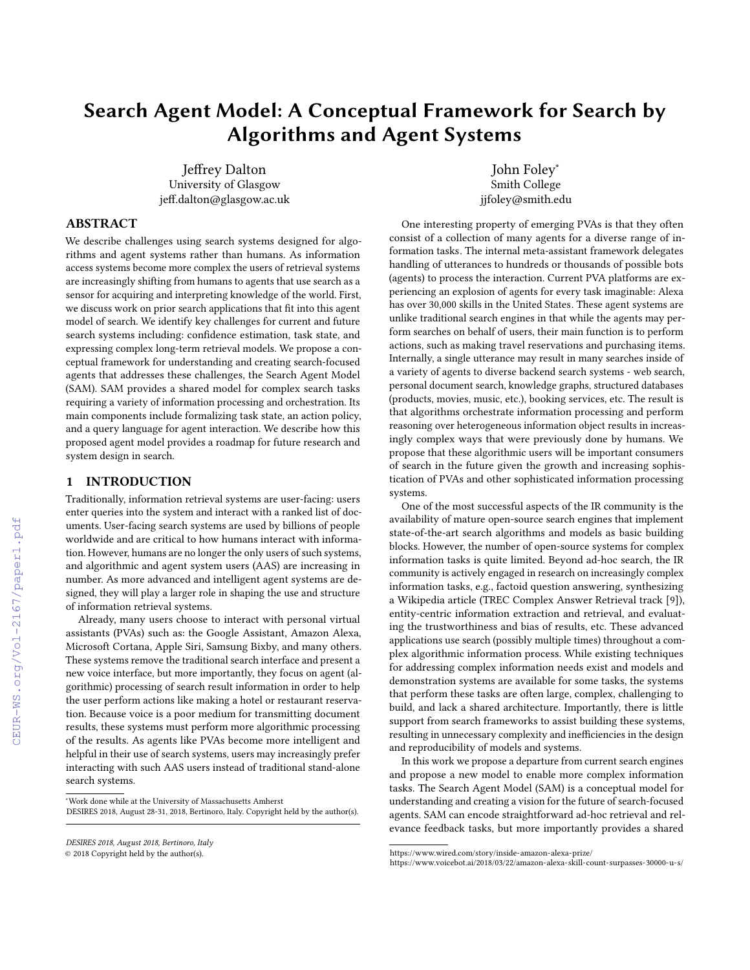# Search Agent Model: A Conceptual Framework for Search by Algorithms and Agent Systems

Jeffrey Dalton University of Glasgow jeff.dalton@glasgow.ac.uk

John Foley<sup>∗</sup> Smith College jjfoley@smith.edu

# ABSTRACT

We describe challenges using search systems designed for algorithms and agent systems rather than humans. As information access systems become more complex the users of retrieval systems are increasingly shifting from humans to agents that use search as a sensor for acquiring and interpreting knowledge of the world. First, we discuss work on prior search applications that fit into this agent model of search. We identify key challenges for current and future search systems including: confidence estimation, task state, and expressing complex long-term retrieval models. We propose a conceptual framework for understanding and creating search-focused agents that addresses these challenges, the Search Agent Model (SAM). SAM provides a shared model for complex search tasks requiring a variety of information processing and orchestration. Its main components include formalizing task state, an action policy, and a query language for agent interaction. We describe how this proposed agent model provides a roadmap for future research and system design in search.

# 1 INTRODUCTION

Traditionally, information retrieval systems are user-facing: users enter queries into the system and interact with a ranked list of documents. User-facing search systems are used by billions of people worldwide and are critical to how humans interact with information. However, humans are no longer the only users of such systems, and algorithmic and agent system users (AAS) are increasing in number. As more advanced and intelligent agent systems are designed, they will play a larger role in shaping the use and structure of information retrieval systems.

Already, many users choose to interact with personal virtual assistants (PVAs) such as: the Google Assistant, Amazon Alexa, Microsoft Cortana, Apple Siri, Samsung Bixby, and many others. These systems remove the traditional search interface and present a new voice interface, but more importantly, they focus on agent (algorithmic) processing of search result information in order to help the user perform actions like making a hotel or restaurant reservation. Because voice is a poor medium for transmitting document results, these systems must perform more algorithmic processing of the results. As agents like PVAs become more intelligent and helpful in their use of search systems, users may increasingly prefer interacting with such AAS users instead of traditional stand-alone search systems.

One interesting property of emerging PVAs is that they often consist of a collection of many agents for a diverse range of information task[s.](#page-0-0) The internal meta-assistant framework delegates handling of utterances to hundreds or thousands of possible bots (agents) to process the interaction. Current PVA platforms are experiencing an explosion of agents for every task imaginable: Alexa has over 30,000 skills in the United State[s.](#page-0-1) These agent systems are unlike traditional search engines in that while the agents may perform searches on behalf of users, their main function is to perform actions, such as making travel reservations and purchasing items. Internally, a single utterance may result in many searches inside of a variety of agents to diverse backend search systems - web search, personal document search, knowledge graphs, structured databases (products, movies, music, etc.), booking services, etc. The result is that algorithms orchestrate information processing and perform reasoning over heterogeneous information object results in increasingly complex ways that were previously done by humans. We propose that these algorithmic users will be important consumers of search in the future given the growth and increasing sophistication of PVAs and other sophisticated information processing systems.

One of the most successful aspects of the IR community is the availability of mature open-source search engines that implement state-of-the-art search algorithms and models as basic building blocks. However, the number of open-source systems for complex information tasks is quite limited. Beyond ad-hoc search, the IR community is actively engaged in research on increasingly complex information tasks, e.g., factoid question answering, synthesizing a Wikipedia article (TREC Complex Answer Retrieval track [\[9\]](#page--1-0)), entity-centric information extraction and retrieval, and evaluating the trustworthiness and bias of results, etc. These advanced applications use search (possibly multiple times) throughout a complex algorithmic information process. While existing techniques for addressing complex information needs exist and models and demonstration systems are available for some tasks, the systems that perform these tasks are often large, complex, challenging to build, and lack a shared architecture. Importantly, there is little support from search frameworks to assist building these systems, resulting in unnecessary complexity and inefficiencies in the design and reproducibility of models and systems.

In this work we propose a departure from current search engines and propose a new model to enable more complex information tasks. The Search Agent Model (SAM) is a conceptual model for understanding and creating a vision for the future of search-focused agents. SAM can encode straightforward ad-hoc retrieval and relevance feedback tasks, but more importantly provides a shared

<sup>∗</sup>Work done while at the University of Massachusetts Amherst

DESIRES 2018, August 28-31, 2018, Bertinoro, Italy. Copyright held by the author(s).

DESIRES 2018, August 2018, Bertinoro, Italy

<sup>©</sup> 2018 Copyright held by the author(s).

<span id="page-0-0"></span><https://www.wired.com/story/inside-amazon-alexa-prize/>

<span id="page-0-1"></span><https://www.voicebot.ai/2018/03/22/amazon-alexa-skill-count-surpasses-30000-u-s/>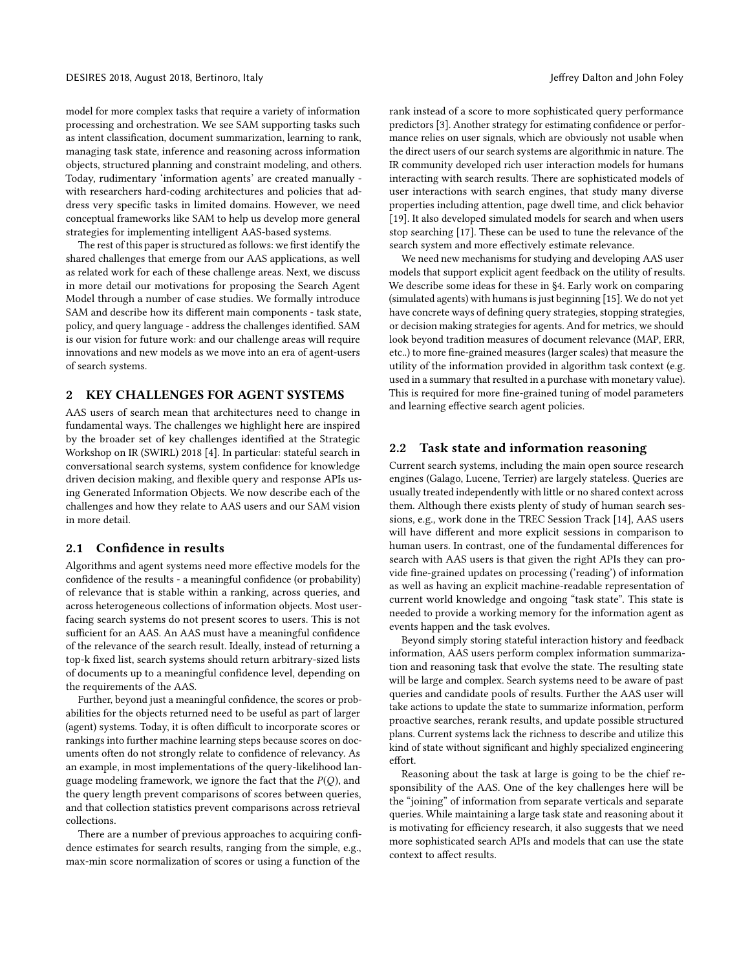model for more complex tasks that require a variety of information processing and orchestration. We see SAM supporting tasks such as intent classification, document summarization, learning to rank, managing task state, inference and reasoning across information objects, structured planning and constraint modeling, and others. Today, rudimentary 'information agents' are created manually with researchers hard-coding architectures and policies that address very specific tasks in limited domains. However, we need conceptual frameworks like SAM to help us develop more general strategies for implementing intelligent AAS-based systems.

The rest of this paper is structured as follows: we first identify the shared challenges that emerge from our AAS applications, as well as related work for each of these challenge areas. Next, we discuss in more detail our motivations for proposing the Search Agent Model through a number of case studies. We formally introduce SAM and describe how its different main components - task state, policy, and query language - address the challenges identified. SAM is our vision for future work: and our challenge areas will require innovations and new models as we move into an era of agent-users of search systems.

## 2 KEY CHALLENGES FOR AGENT SYSTEMS

AAS users of search mean that architectures need to change in fundamental ways. The challenges we highlight here are inspired by the broader set of key challenges identified at the Strategic Workshop on IR (SWIRL) 2018 [\[4\]](#page-6-0). In particular: stateful search in conversational search systems, system confidence for knowledge driven decision making, and flexible query and response APIs using Generated Information Objects. We now describe each of the challenges and how they relate to AAS users and our SAM vision in more detail.

#### 2.1 Confidence in results

Algorithms and agent systems need more effective models for the confidence of the results - a meaningful confidence (or probability) of relevance that is stable within a ranking, across queries, and across heterogeneous collections of information objects. Most userfacing search systems do not present scores to users. This is not sufficient for an AAS. An AAS must have a meaningful confidence of the relevance of the search result. Ideally, instead of returning a top-k fixed list, search systems should return arbitrary-sized lists of documents up to a meaningful confidence level, depending on the requirements of the AAS.

Further, beyond just a meaningful confidence, the scores or probabilities for the objects returned need to be useful as part of larger (agent) systems. Today, it is often difficult to incorporate scores or rankings into further machine learning steps because scores on documents often do not strongly relate to confidence of relevancy. As an example, in most implementations of the query-likelihood language modeling framework, we ignore the fact that the  $P(Q)$ , and the query length prevent comparisons of scores between queries, and that collection statistics prevent comparisons across retrieval collections.

There are a number of previous approaches to acquiring confidence estimates for search results, ranging from the simple, e.g., max-min score normalization of scores or using a function of the

rank instead of a score to more sophisticated query performance predictors [\[3\]](#page-6-1). Another strategy for estimating confidence or performance relies on user signals, which are obviously not usable when the direct users of our search systems are algorithmic in nature. The IR community developed rich user interaction models for humans interacting with search results. There are sophisticated models of user interactions with search engines, that study many diverse properties including attention, page dwell time, and click behavior [\[19\]](#page-6-2). It also developed simulated models for search and when users stop searching [\[17\]](#page-6-3). These can be used to tune the relevance of the search system and more effectively estimate relevance.

We need new mechanisms for studying and developing AAS user models that support explicit agent feedback on the utility of results. We describe some ideas for these in [§4.](#page-3-0) Early work on comparing (simulated agents) with humans is just beginning [\[15\]](#page-6-4). We do not yet have concrete ways of defining query strategies, stopping strategies, or decision making strategies for agents. And for metrics, we should look beyond tradition measures of document relevance (MAP, ERR, etc..) to more fine-grained measures (larger scales) that measure the utility of the information provided in algorithm task context (e.g. used in a summary that resulted in a purchase with monetary value). This is required for more fine-grained tuning of model parameters and learning effective search agent policies.

# 2.2 Task state and information reasoning

Current search systems, including the main open source research engines (Galago, Lucene, Terrier) are largely stateless. Queries are usually treated independently with little or no shared context across them. Although there exists plenty of study of human search sessions, e.g., work done in the TREC Session Track [\[14\]](#page-6-5), AAS users will have different and more explicit sessions in comparison to human users. In contrast, one of the fundamental differences for search with AAS users is that given the right APIs they can provide fine-grained updates on processing ('reading') of information as well as having an explicit machine-readable representation of current world knowledge and ongoing "task state". This state is needed to provide a working memory for the information agent as events happen and the task evolves.

Beyond simply storing stateful interaction history and feedback information, AAS users perform complex information summarization and reasoning task that evolve the state. The resulting state will be large and complex. Search systems need to be aware of past queries and candidate pools of results. Further the AAS user will take actions to update the state to summarize information, perform proactive searches, rerank results, and update possible structured plans. Current systems lack the richness to describe and utilize this kind of state without significant and highly specialized engineering effort.

Reasoning about the task at large is going to be the chief responsibility of the AAS. One of the key challenges here will be the "joining" of information from separate verticals and separate queries. While maintaining a large task state and reasoning about it is motivating for efficiency research, it also suggests that we need more sophisticated search APIs and models that can use the state context to affect results.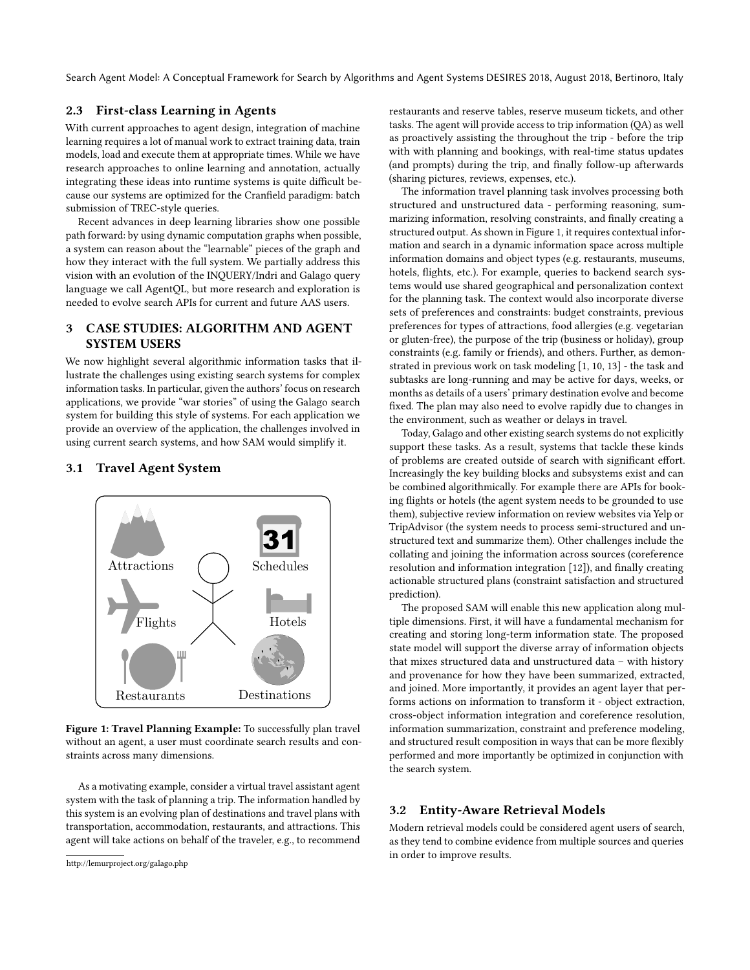Search Agent Model: A Conceptual Framework for Search by Algorithms and Agent Systems DESIRES 2018, August 2018, Bertinoro, Italy

# 2.3 First-class Learning in Agents

With current approaches to agent design, integration of machine learning requires a lot of manual work to extract training data, train models, load and execute them at appropriate times. While we have research approaches to online learning and annotation, actually integrating these ideas into runtime systems is quite difficult because our systems are optimized for the Cranfield paradigm: batch submission of TREC-style queries.

Recent advances in deep learning libraries show one possible path forward: by using dynamic computation graphs when possible, a system can reason about the "learnable" pieces of the graph and how they interact with the full system. We partially address this vision with an evolution of the INQUERY/Indri and Galago query language we call AgentQL, but more research and exploration is needed to evolve search APIs for current and future AAS users.

# 3 CASE STUDIES: ALGORITHM AND AGENT SYSTEM USERS

We now highlight several algorithmic information tasks that illustrate the challenges using existing search systems for complex information tasks. In particular, given the authors' focus on research applications, we provide "war stories" of using the Galag[o](#page-2-0) search system for building this style of systems. For each application we provide an overview of the application, the challenges involved in using current search systems, and how SAM would simplify it.

# 3.1 Travel Agent System

<span id="page-2-1"></span>

Figure 1: Travel Planning Example: To successfully plan travel without an agent, a user must coordinate search results and constraints across many dimensions.

As a motivating example, consider a virtual travel assistant agent system with the task of planning a trip. The information handled by this system is an evolving plan of destinations and travel plans with transportation, accommodation, restaurants, and attractions. This agent will take actions on behalf of the traveler, e.g., to recommend restaurants and reserve tables, reserve museum tickets, and other tasks. The agent will provide access to trip information (QA) as well as proactively assisting the throughout the trip - before the trip with with planning and bookings, with real-time status updates (and prompts) during the trip, and finally follow-up afterwards (sharing pictures, reviews, expenses, etc.).

The information travel planning task involves processing both structured and unstructured data - performing reasoning, summarizing information, resolving constraints, and finally creating a structured output. As shown in Figure [1,](#page-2-1) it requires contextual information and search in a dynamic information space across multiple information domains and object types (e.g. restaurants, museums, hotels, flights, etc.). For example, queries to backend search systems would use shared geographical and personalization context for the planning task. The context would also incorporate diverse sets of preferences and constraints: budget constraints, previous preferences for types of attractions, food allergies (e.g. vegetarian or gluten-free), the purpose of the trip (business or holiday), group constraints (e.g. family or friends), and others. Further, as demonstrated in previous work on task modeling [\[1,](#page-6-6) [10,](#page-6-7) [13\]](#page-6-8) - the task and subtasks are long-running and may be active for days, weeks, or months as details of a users' primary destination evolve and become fixed. The plan may also need to evolve rapidly due to changes in the environment, such as weather or delays in travel.

Today, Galago and other existing search systems do not explicitly support these tasks. As a result, systems that tackle these kinds of problems are created outside of search with significant effort. Increasingly the key building blocks and subsystems exist and can be combined algorithmically. For example there are APIs for booking flights or hotels (the agent system needs to be grounded to use them), subjective review information on review websites via Yelp or TripAdvisor (the system needs to process semi-structured and unstructured text and summarize them). Other challenges include the collating and joining the information across sources (coreference resolution and information integration [\[12\]](#page-6-9)), and finally creating actionable structured plans (constraint satisfaction and structured prediction).

The proposed SAM will enable this new application along multiple dimensions. First, it will have a fundamental mechanism for creating and storing long-term information state. The proposed state model will support the diverse array of information objects that mixes structured data and unstructured data – with history and provenance for how they have been summarized, extracted, and joined. More importantly, it provides an agent layer that performs actions on information to transform it - object extraction, cross-object information integration and coreference resolution, information summarization, constraint and preference modeling, and structured result composition in ways that can be more flexibly performed and more importantly be optimized in conjunction with the search system.

#### 3.2 Entity-Aware Retrieval Models

Modern retrieval models could be considered agent users of search, as they tend to combine evidence from multiple sources and queries in order to improve results.

<span id="page-2-0"></span><http://lemurproject.org/galago.php>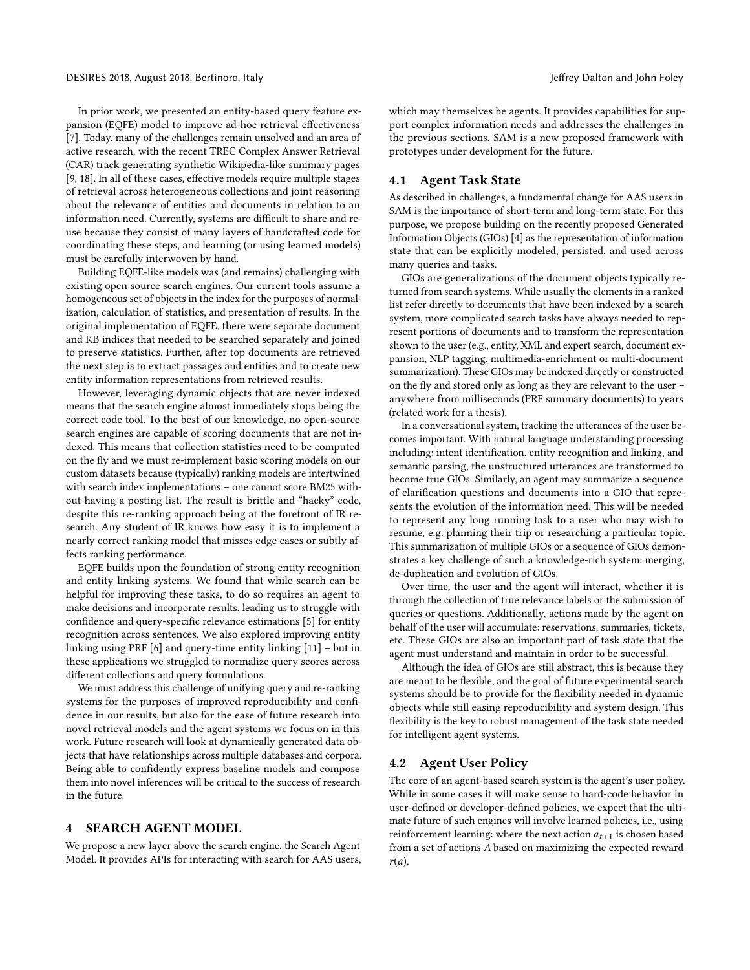In prior work, we presented an entity-based query feature expansion (EQFE) model to improve ad-hoc retrieval effectiveness [\[7\]](#page-6-10). Today, many of the challenges remain unsolved and an area of active research, with the recent TREC Complex Answer Retrieval (CAR) track generating synthetic Wikipedia-like summary pages [\[9,](#page-6-11) [18\]](#page-6-12). In all of these cases, effective models require multiple stages of retrieval across heterogeneous collections and joint reasoning about the relevance of entities and documents in relation to an information need. Currently, systems are difficult to share and reuse because they consist of many layers of handcrafted code for coordinating these steps, and learning (or using learned models) must be carefully interwoven by hand.

Building EQFE-like models was (and remains) challenging with existing open source search engines. Our current tools assume a homogeneous set of objects in the index for the purposes of normalization, calculation of statistics, and presentation of results. In the original implementation of EQFE, there were separate document and KB indices that needed to be searched separately and joined to preserve statistics. Further, after top documents are retrieved the next step is to extract passages and entities and to create new entity information representations from retrieved results.

However, leveraging dynamic objects that are never indexed means that the search engine almost immediately stops being the correct code tool. To the best of our knowledge, no open-source search engines are capable of scoring documents that are not indexed. This means that collection statistics need to be computed on the fly and we must re-implement basic scoring models on our custom datasets because (typically) ranking models are intertwined with search index implementations – one cannot score BM25 without having a posting list. The result is brittle and "hacky" code, despite this re-ranking approach being at the forefront of IR research. Any student of IR knows how easy it is to implement a nearly correct ranking model that misses edge cases or subtly affects ranking performance.

EQFE builds upon the foundation of strong entity recognition and entity linking systems. We found that while search can be helpful for improving these tasks, to do so requires an agent to make decisions and incorporate results, leading us to struggle with confidence and query-specific relevance estimations [\[5\]](#page-6-13) for entity recognition across sentences. We also explored improving entity linking using PRF [\[6\]](#page-6-14) and query-time entity linking [\[11\]](#page-6-15) – but in these applications we struggled to normalize query scores across different collections and query formulations.

We must address this challenge of unifying query and re-ranking systems for the purposes of improved reproducibility and confidence in our results, but also for the ease of future research into novel retrieval models and the agent systems we focus on in this work. Future research will look at dynamically generated data objects that have relationships across multiple databases and corpora. Being able to confidently express baseline models and compose them into novel inferences will be critical to the success of research in the future.

# <span id="page-3-0"></span>4 SEARCH AGENT MODEL

We propose a new layer above the search engine, the Search Agent Model. It provides APIs for interacting with search for AAS users, which may themselves be agents. It provides capabilities for support complex information needs and addresses the challenges in the previous sections. SAM is a new proposed framework with prototypes under development for the future.

# 4.1 Agent Task State

As described in challenges, a fundamental change for AAS users in SAM is the importance of short-term and long-term state. For this purpose, we propose building on the recently proposed Generated Information Objects (GIOs) [\[4\]](#page-6-0) as the representation of information state that can be explicitly modeled, persisted, and used across many queries and tasks.

GIOs are generalizations of the document objects typically returned from search systems. While usually the elements in a ranked list refer directly to documents that have been indexed by a search system, more complicated search tasks have always needed to represent portions of documents and to transform the representation shown to the user (e.g., entity, XML and expert search, document expansion, NLP tagging, multimedia-enrichment or multi-document summarization). These GIOs may be indexed directly or constructed on the fly and stored only as long as they are relevant to the user – anywhere from milliseconds (PRF summary documents) to years (related work for a thesis).

In a conversational system, tracking the utterances of the user becomes important. With natural language understanding processing including: intent identification, entity recognition and linking, and semantic parsing, the unstructured utterances are transformed to become true GIOs. Similarly, an agent may summarize a sequence of clarification questions and documents into a GIO that represents the evolution of the information need. This will be needed to represent any long running task to a user who may wish to resume, e.g. planning their trip or researching a particular topic. This summarization of multiple GIOs or a sequence of GIOs demonstrates a key challenge of such a knowledge-rich system: merging, de-duplication and evolution of GIOs.

Over time, the user and the agent will interact, whether it is through the collection of true relevance labels or the submission of queries or questions. Additionally, actions made by the agent on behalf of the user will accumulate: reservations, summaries, tickets, etc. These GIOs are also an important part of task state that the agent must understand and maintain in order to be successful.

Although the idea of GIOs are still abstract, this is because they are meant to be flexible, and the goal of future experimental search systems should be to provide for the flexibility needed in dynamic objects while still easing reproducibility and system design. This flexibility is the key to robust management of the task state needed for intelligent agent systems.

### 4.2 Agent User Policy

The core of an agent-based search system is the agent's user policy. While in some cases it will make sense to hard-code behavior in user-defined or developer-defined policies, we expect that the ultimate future of such engines will involve learned policies, i.e., using reinforcement learning: where the next action  $a_{t+1}$  is chosen based from a set of actions A based on maximizing the expected reward  $r(a)$ .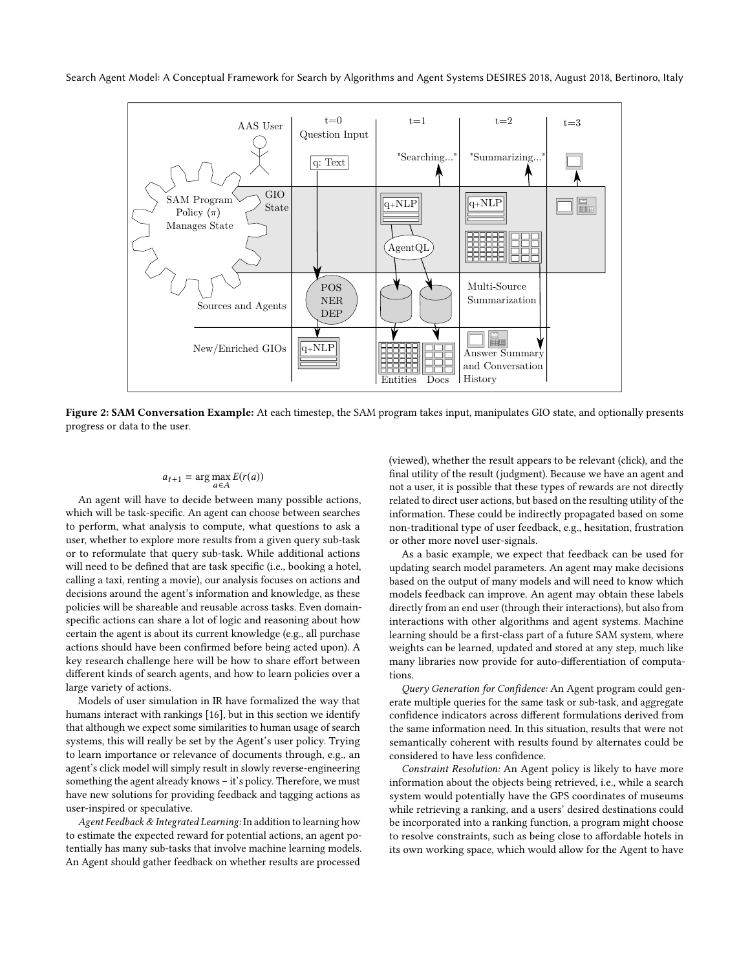Search Agent Model: A Conceptual Framework for Search by Algorithms and Agent Systems DESIRES 2018, August 2018, Bertinoro, Italy



Figure 2: SAM Conversation Example: At each timestep, the SAM program takes input, manipulates GIO state, and optionally presents progress or data to the user.

# $a_{t+1} = \arg \max_{a \in A} E(r(a))$

An agent will have to decide between many possible actions, which will be task-specific. An agent can choose between searches to perform, what analysis to compute, what questions to ask a user, whether to explore more results from a given query sub-task or to reformulate that query sub-task. While additional actions will need to be defined that are task specific (i.e., booking a hotel, calling a taxi, renting a movie), our analysis focuses on actions and decisions around the agent's information and knowledge, as these policies will be shareable and reusable across tasks. Even domainspecific actions can share a lot of logic and reasoning about how certain the agent is about its current knowledge (e.g., all purchase actions should have been confirmed before being acted upon). A key research challenge here will be how to share effort between different kinds of search agents, and how to learn policies over a large variety of actions.

Models of user simulation in IR have formalized the way that humans interact with rankings [\[16\]](#page-6-16), but in this section we identify that although we expect some similarities to human usage of search systems, this will really be set by the Agent's user policy. Trying to learn importance or relevance of documents through, e.g., an agent's click model will simply result in slowly reverse-engineering something the agent already knows – it's policy. Therefore, we must have new solutions for providing feedback and tagging actions as user-inspired or speculative.

Agent Feedback & Integrated Learning: In addition to learning how to estimate the expected reward for potential actions, an agent potentially has many sub-tasks that involve machine learning models. An Agent should gather feedback on whether results are processed

(viewed), whether the result appears to be relevant (click), and the final utility of the result (judgment). Because we have an agent and not a user, it is possible that these types of rewards are not directly related to direct user actions, but based on the resulting utility of the information. These could be indirectly propagated based on some non-traditional type of user feedback, e.g., hesitation, frustration or other more novel user-signals.

As a basic example, we expect that feedback can be used for updating search model parameters. An agent may make decisions based on the output of many models and will need to know which models feedback can improve. An agent may obtain these labels directly from an end user (through their interactions), but also from interactions with other algorithms and agent systems. Machine learning should be a first-class part of a future SAM system, where weights can be learned, updated and stored at any step, much like many libraries now provide for auto-differentiation of computations.

Query Generation for Confidence: An Agent program could generate multiple queries for the same task or sub-task, and aggregate confidence indicators across different formulations derived from the same information need. In this situation, results that were not semantically coherent with results found by alternates could be considered to have less confidence.

Constraint Resolution: An Agent policy is likely to have more information about the objects being retrieved, i.e., while a search system would potentially have the GPS coordinates of museums while retrieving a ranking, and a users' desired destinations could be incorporated into a ranking function, a program might choose to resolve constraints, such as being close to affordable hotels in its own working space, which would allow for the Agent to have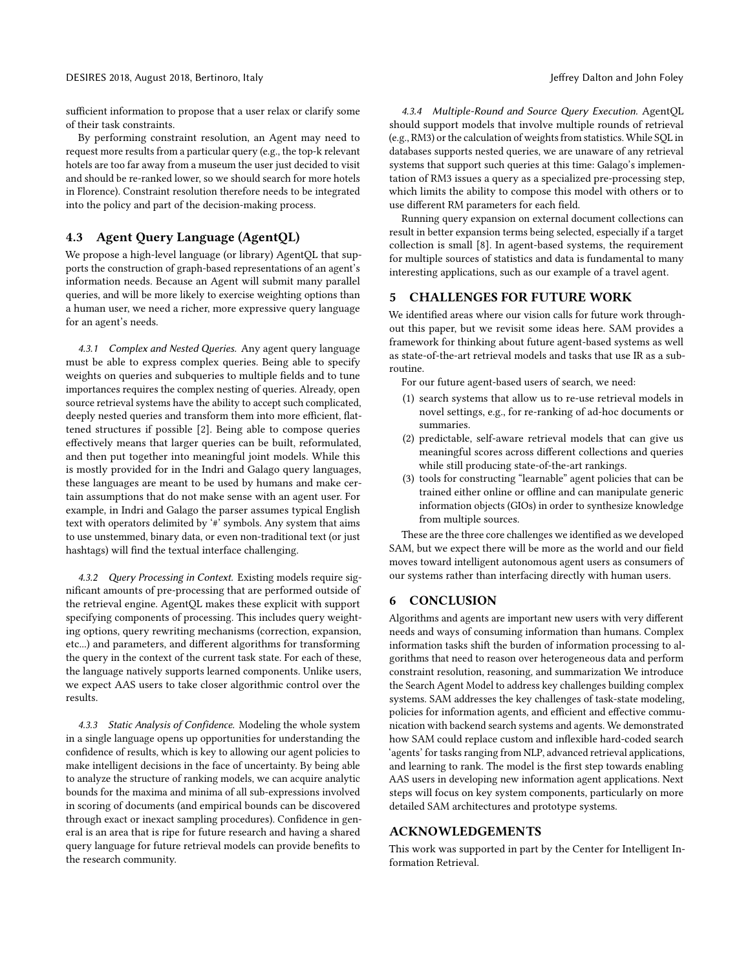sufficient information to propose that a user relax or clarify some of their task constraints.

By performing constraint resolution, an Agent may need to request more results from a particular query (e.g., the top-k relevant hotels are too far away from a museum the user just decided to visit and should be re-ranked lower, so we should search for more hotels in Florence). Constraint resolution therefore needs to be integrated into the policy and part of the decision-making process.

# 4.3 Agent Query Language (AgentQL)

We propose a high-level language (or library) AgentQL that supports the construction of graph-based representations of an agent's information needs. Because an Agent will submit many parallel queries, and will be more likely to exercise weighting options than a human user, we need a richer, more expressive query language for an agent's needs.

4.3.1 Complex and Nested Queries. Any agent query language must be able to express complex queries. Being able to specify weights on queries and subqueries to multiple fields and to tune importances requires the complex nesting of queries. Already, open source retrieval systems have the ability to accept such complicated, deeply nested queries and transform them into more efficient, flattened structures if possible [\[2\]](#page-6-17). Being able to compose queries effectively means that larger queries can be built, reformulated, and then put together into meaningful joint models. While this is mostly provided for in the Indri and Galago query languages, these languages are meant to be used by humans and make certain assumptions that do not make sense with an agent user. For example, in Indri and Galago the parser assumes typical English text with operators delimited by '#' symbols. Any system that aims to use unstemmed, binary data, or even non-traditional text (or just hashtags) will find the textual interface challenging.

4.3.2 Query Processing in Context. Existing models require significant amounts of pre-processing that are performed outside of the retrieval engine. AgentQL makes these explicit with support specifying components of processing. This includes query weighting options, query rewriting mechanisms (correction, expansion, etc...) and parameters, and different algorithms for transforming the query in the context of the current task state. For each of these, the language natively supports learned components. Unlike users, we expect AAS users to take closer algorithmic control over the results.

4.3.3 Static Analysis of Confidence. Modeling the whole system in a single language opens up opportunities for understanding the confidence of results, which is key to allowing our agent policies to make intelligent decisions in the face of uncertainty. By being able to analyze the structure of ranking models, we can acquire analytic bounds for the maxima and minima of all sub-expressions involved in scoring of documents (and empirical bounds can be discovered through exact or inexact sampling procedures). Confidence in general is an area that is ripe for future research and having a shared query language for future retrieval models can provide benefits to the research community.

4.3.4 Multiple-Round and Source Query Execution. AgentQL should support models that involve multiple rounds of retrieval (e.g., RM3) or the calculation of weights from statistics. While SQL in databases supports nested queries, we are unaware of any retrieval systems that support such queries at this time: Galago's implementation of RM3 issues a query as a specialized pre-processing step, which limits the ability to compose this model with others or to use different RM parameters for each field.

Running query expansion on external document collections can result in better expansion terms being selected, especially if a target collection is small [\[8\]](#page-6-18). In agent-based systems, the requirement for multiple sources of statistics and data is fundamental to many interesting applications, such as our example of a travel agent.

# 5 CHALLENGES FOR FUTURE WORK

We identified areas where our vision calls for future work throughout this paper, but we revisit some ideas here. SAM provides a framework for thinking about future agent-based systems as well as state-of-the-art retrieval models and tasks that use IR as a subroutine.

- For our future agent-based users of search, we need:
- (1) search systems that allow us to re-use retrieval models in novel settings, e.g., for re-ranking of ad-hoc documents or summaries.
- (2) predictable, self-aware retrieval models that can give us meaningful scores across different collections and queries while still producing state-of-the-art rankings.
- (3) tools for constructing "learnable" agent policies that can be trained either online or offline and can manipulate generic information objects (GIOs) in order to synthesize knowledge from multiple sources.

These are the three core challenges we identified as we developed SAM, but we expect there will be more as the world and our field moves toward intelligent autonomous agent users as consumers of our systems rather than interfacing directly with human users.

#### 6 CONCLUSION

Algorithms and agents are important new users with very different needs and ways of consuming information than humans. Complex information tasks shift the burden of information processing to algorithms that need to reason over heterogeneous data and perform constraint resolution, reasoning, and summarization We introduce the Search Agent Model to address key challenges building complex systems. SAM addresses the key challenges of task-state modeling, policies for information agents, and efficient and effective communication with backend search systems and agents. We demonstrated how SAM could replace custom and inflexible hard-coded search 'agents' for tasks ranging from NLP, advanced retrieval applications, and learning to rank. The model is the first step towards enabling AAS users in developing new information agent applications. Next steps will focus on key system components, particularly on more detailed SAM architectures and prototype systems.

#### ACKNOWLEDGEMENTS

This work was supported in part by the Center for Intelligent Information Retrieval.